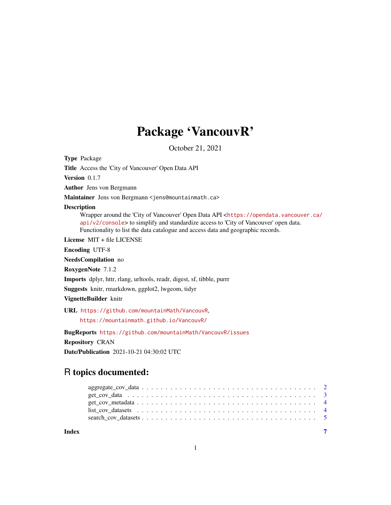# Package 'VancouvR'

October 21, 2021

Type Package

Title Access the 'City of Vancouver' Open Data API

Version 0.1.7

Author Jens von Bergmann

Maintainer Jens von Bergmann <jens@mountainmath.ca>

#### Description

Wrapper around the 'City of Vancouver' Open Data API <[https://opendata.vancouver.ca/](https://opendata.vancouver.ca/api/v2/console) [api/v2/console](https://opendata.vancouver.ca/api/v2/console)> to simplify and standardize access to 'City of Vancouver' open data. Functionality to list the data catalogue and access data and geographic records.

License MIT + file LICENSE

Encoding UTF-8

NeedsCompilation no

RoxygenNote 7.1.2

Imports dplyr, httr, rlang, urltools, readr, digest, sf, tibble, purrr

Suggests knitr, rmarkdown, ggplot2, lwgeom, tidyr

VignetteBuilder knitr

URL <https://github.com/mountainMath/VancouvR>,

<https://mountainmath.github.io/VancouvR/>

BugReports <https://github.com/mountainMath/VancouvR/issues>

Repository CRAN

Date/Publication 2021-10-21 04:30:02 UTC

## R topics documented:

| Index |                                                                                                                |  |
|-------|----------------------------------------------------------------------------------------------------------------|--|
|       |                                                                                                                |  |
|       | list cov datasets $\ldots \ldots \ldots \ldots \ldots \ldots \ldots \ldots \ldots \ldots \ldots \ldots \ldots$ |  |
|       |                                                                                                                |  |
|       |                                                                                                                |  |
|       |                                                                                                                |  |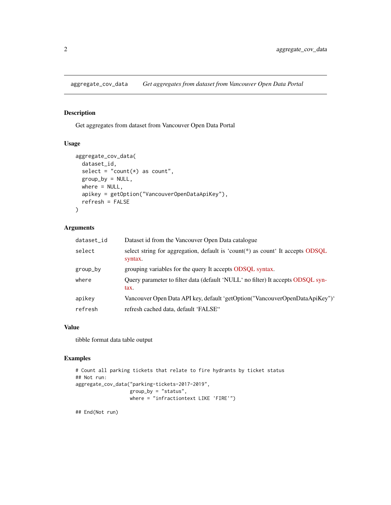<span id="page-1-0"></span>aggregate\_cov\_data *Get aggregates from dataset from Vancouver Open Data Portal*

#### Description

Get aggregates from dataset from Vancouver Open Data Portal

#### Usage

```
aggregate_cov_data(
 dataset_id,
  select = "count(*) as count",
 group_by = NULL,
 where = NULL,
 apikey = getOption("VancouverOpenDataApiKey"),
  refresh = FALSE
)
```
#### Arguments

| dataset_id | Dataset id from the Vancouver Open Data catalogue                                         |
|------------|-------------------------------------------------------------------------------------------|
| select     | select string for aggregation, default is 'count(*) as count' It accepts ODSQL<br>syntax. |
| group_by   | grouping variables for the query It accepts ODSQL syntax.                                 |
| where      | Query parameter to filter data (default 'NULL' no filter) It accepts ODSQL syn-<br>tax.   |
| apikey     | Vancouver Open Data API key, default 'getOption("VancouverOpenDataApiKey")'               |
| refresh    | refresh cached data, default 'FALSE"                                                      |

#### Value

tibble format data table output

#### Examples

```
# Count all parking tickets that relate to fire hydrants by ticket status
## Not run:
aggregate_cov_data("parking-tickets-2017-2019",
                  group_by = "status",
                  where = "infractiontext LIKE 'FIRE'")
```
## End(Not run)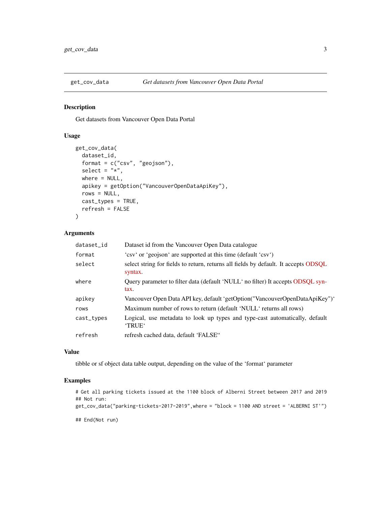<span id="page-2-0"></span>

#### Description

Get datasets from Vancouver Open Data Portal

#### Usage

```
get_cov_data(
 dataset_id,
  format = c("csv", "geojson"),select = "*",
 where = NULL,
  apikey = getOption("VancouverOpenDataApiKey"),
 rows = NULL,cast_types = TRUE,
 refresh = FALSE
)
```
#### Arguments

| dataset_id | Dataset id from the Vancouver Open Data catalogue                                              |
|------------|------------------------------------------------------------------------------------------------|
| format     | 'csv' or 'geojson' are supported at this time (default 'csv')                                  |
| select     | select string for fields to return, returns all fields by default. It accepts ODSQL<br>syntax. |
| where      | Query parameter to filter data (default 'NULL' no filter) It accepts ODSQL syn-<br>tax.        |
| apikey     | Vancouver Open Data API key, default 'getOption("VancouverOpenDataApiKey")'                    |
| rows       | Maximum number of rows to return (default 'NULL' returns all rows)                             |
| cast_types | Logical, use metadata to look up types and type-cast automatically, default<br>'TRUE'          |
| refresh    | refresh cached data, default 'FALSE"                                                           |

#### Value

tibble or sf object data table output, depending on the value of the 'format' parameter

#### Examples

```
# Get all parking tickets issued at the 1100 block of Alberni Street between 2017 and 2019
## Not run:
```
get\_cov\_data("parking-tickets-2017-2019",where = "block = 1100 AND street = 'ALBERNI ST'")

## End(Not run)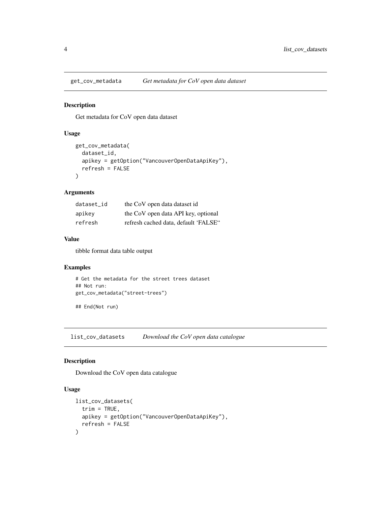<span id="page-3-0"></span>

#### Description

Get metadata for CoV open data dataset

#### Usage

```
get_cov_metadata(
  dataset_id,
  apikey = getOption("VancouverOpenDataApiKey"),
  refresh = FALSE
\mathcal{E}
```
#### Arguments

| dataset id | the CoV open data dataset id         |
|------------|--------------------------------------|
| apikey     | the CoV open data API key, optional  |
| refresh    | refresh cached data, default 'FALSE" |

#### Value

tibble format data table output

#### Examples

```
# Get the metadata for the street trees dataset
## Not run:
get_cov_metadata("street-trees")
```
## End(Not run)

list\_cov\_datasets *Download the CoV open data catalogue*

#### Description

Download the CoV open data catalogue

#### Usage

```
list_cov_datasets(
  trim = TRUE,apikey = getOption("VancouverOpenDataApiKey"),
  refresh = FALSE
\mathcal{E}
```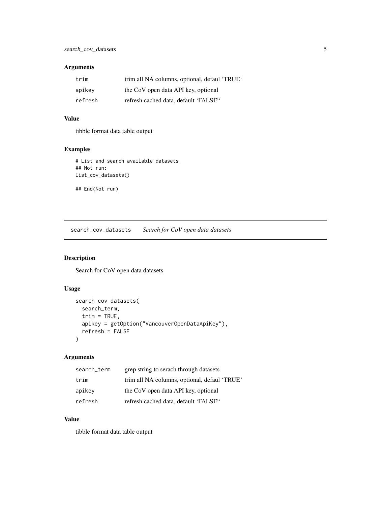#### <span id="page-4-0"></span>Arguments

| trim    | trim all NA columns, optional, defaul 'TRUE' |
|---------|----------------------------------------------|
| apikey  | the CoV open data API key, optional          |
| refresh | refresh cached data, default 'FALSE"         |

#### Value

tibble format data table output

#### Examples

# List and search available datasets ## Not run: list\_cov\_datasets()

## End(Not run)

search\_cov\_datasets *Search for CoV open data datasets*

#### Description

Search for CoV open data datasets

#### Usage

```
search_cov_datasets(
 search_term,
  trim = TRUE,apikey = getOption("VancouverOpenDataApiKey"),
 refresh = FALSE
)
```
#### Arguments

| search_term | grep string to serach through datasets       |
|-------------|----------------------------------------------|
| trim        | trim all NA columns, optional, defaul 'TRUE' |
| apikey      | the CoV open data API key, optional          |
| refresh     | refresh cached data, default 'FALSE"         |

#### Value

tibble format data table output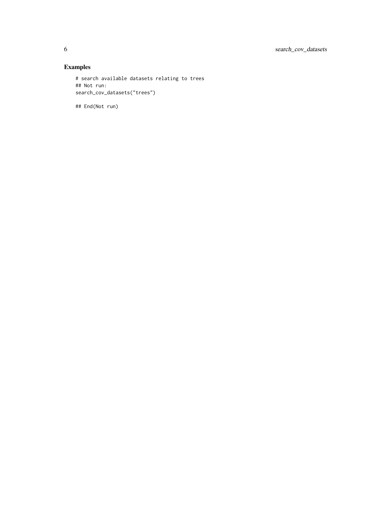### Examples

```
# search available datasets relating to trees
## Not run:
search_cov_datasets("trees")
```
## End(Not run)